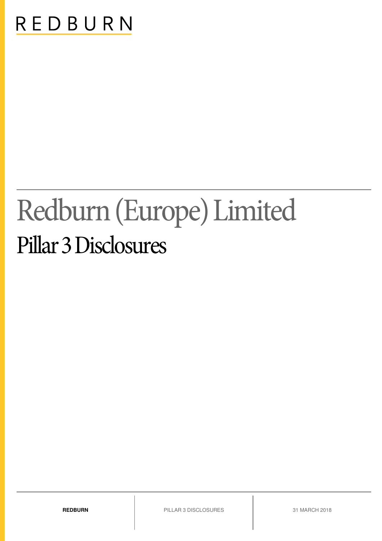# REDBURN

# Redburn (Europe) Limited Pillar 3 Disclosures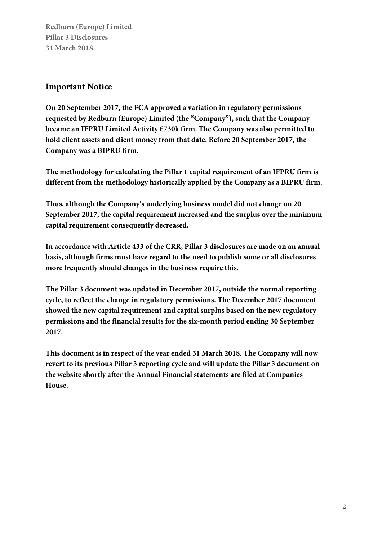# **Important Notice**

**On 20 September 2017, the FCA approved a variation in regulatory permissions requested by Redburn (Europe) Limited (the "Company"), such that the Company became an IFPRU Limited Activity €730k firm. The Company was also permitted to hold client assets and client money from that date. Before 20 September 2017, the Company was a BIPRU firm.** 

**The methodology for calculating the Pillar 1 capital requirement of an IFPRU firm is different from the methodology historically applied by the Company as a BIPRU firm.** 

**Thus, although the Company's underlying business model did not change on 20 September 2017, the capital requirement increased and the surplus over the minimum capital requirement consequently decreased.** 

**In accordance with Article 433 of the CRR, Pillar 3 disclosures are made on an annual basis, although firms must have regard to the need to publish some or all disclosures more frequently should changes in the business require this.** 

**The Pillar 3 document was updated in December 2017, outside the normal reporting cycle, to reflect the change in regulatory permissions. The December 2017 document showed the new capital requirement and capital surplus based on the new regulatory permissions and the financial results for the six-month period ending 30 September 2017.** 

**This document is in respect of the year ended 31 March 2018. The Company will now revert to its previous Pillar 3 reporting cycle and will update the Pillar 3 document on the website shortly after the Annual Financial statements are filed at Companies House.**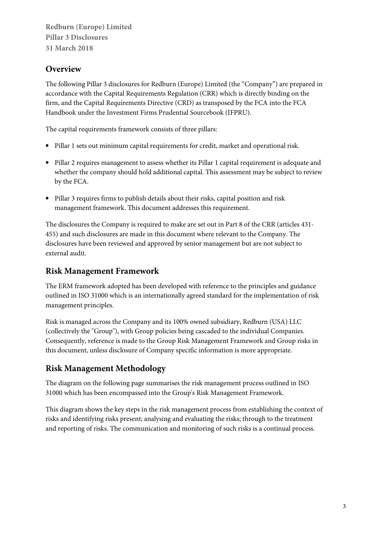# **Overview**

The following Pillar 3 disclosures for Redburn (Europe) Limited (the "Company") are prepared in accordance with the Capital Requirements Regulation (CRR) which is directly binding on the firm, and the Capital Requirements Directive (CRD) as transposed by the FCA into the FCA Handbook under the Investment Firms Prudential Sourcebook (IFPRU).

The capital requirements framework consists of three pillars:

- Pillar 1 sets out minimum capital requirements for credit, market and operational risk.
- Pillar 2 requires management to assess whether its Pillar 1 capital requirement is adequate and whether the company should hold additional capital. This assessment may be subject to review by the FCA.
- Pillar 3 requires firms to publish details about their risks, capital position and risk management framework. This document addresses this requirement.

The disclosures the Company is required to make are set out in Part 8 of the CRR (articles 431- 455) and such disclosures are made in this document where relevant to the Company. The disclosures have been reviewed and approved by senior management but are not subject to external audit.

# **Risk Management Framework**

The ERM framework adopted has been developed with reference to the principles and guidance outlined in ISO 31000 which is an internationally agreed standard for the implementation of risk management principles.

Risk is managed across the Company and its 100% owned subsidiary, Redburn (USA) LLC (collectively the "Group"), with Group policies being cascaded to the individual Companies. Consequently, reference is made to the Group Risk Management Framework and Group risks in this document, unless disclosure of Company specific information is more appropriate.

# **Risk Management Methodology**

The diagram on the following page summarises the risk management process outlined in ISO 31000 which has been encompassed into the Group's Risk Management Framework.

This diagram shows the key steps in the risk management process from establishing the context of risks and identifying risks present; analysing and evaluating the risks; through to the treatment and reporting of risks. The communication and monitoring of such risks is a continual process.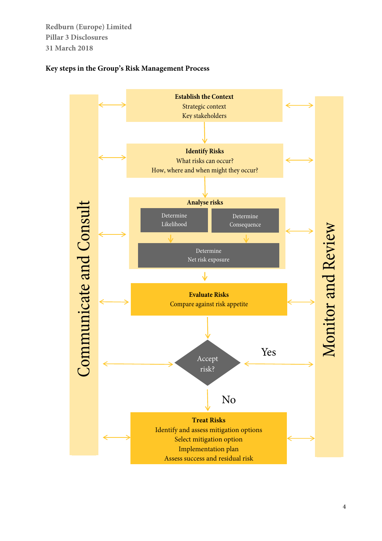### **Key steps in the Group's Risk Management Process**

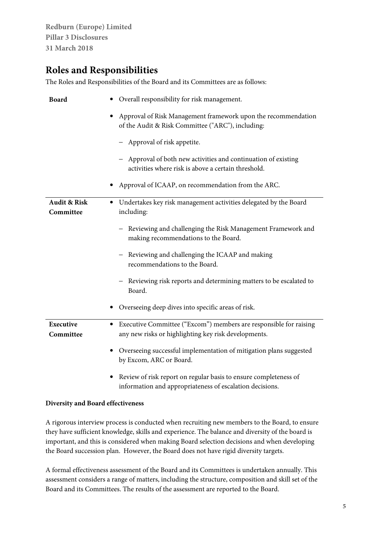# **Roles and Responsibilities**

The Roles and Responsibilities of the Board and its Committees are as follows:

| <b>Board</b>                         | Overall responsibility for risk management.                                                                                    |  |
|--------------------------------------|--------------------------------------------------------------------------------------------------------------------------------|--|
|                                      | Approval of Risk Management framework upon the recommendation<br>of the Audit & Risk Committee ("ARC"), including:             |  |
|                                      | - Approval of risk appetite.                                                                                                   |  |
|                                      | Approval of both new activities and continuation of existing<br>activities where risk is above a certain threshold.            |  |
|                                      | Approval of ICAAP, on recommendation from the ARC.                                                                             |  |
| <b>Audit &amp; Risk</b><br>Committee | Undertakes key risk management activities delegated by the Board<br>including:                                                 |  |
|                                      | - Reviewing and challenging the Risk Management Framework and<br>making recommendations to the Board.                          |  |
|                                      | Reviewing and challenging the ICAAP and making<br>recommendations to the Board.                                                |  |
|                                      | - Reviewing risk reports and determining matters to be escalated to<br>Board.                                                  |  |
|                                      | Overseeing deep dives into specific areas of risk.                                                                             |  |
| Executive<br>Committee               | Executive Committee ("Excom") members are responsible for raising<br>٠<br>any new risks or highlighting key risk developments. |  |
|                                      | Overseeing successful implementation of mitigation plans suggested<br>by Excom, ARC or Board.                                  |  |
|                                      | Review of risk report on regular basis to ensure completeness of<br>information and appropriateness of escalation decisions.   |  |

#### **Diversity and Board effectiveness**

A rigorous interview process is conducted when recruiting new members to the Board, to ensure they have sufficient knowledge, skills and experience. The balance and diversity of the board is important, and this is considered when making Board selection decisions and when developing the Board succession plan. However, the Board does not have rigid diversity targets.

A formal effectiveness assessment of the Board and its Committees is undertaken annually. This assessment considers a range of matters, including the structure, composition and skill set of the Board and its Committees. The results of the assessment are reported to the Board.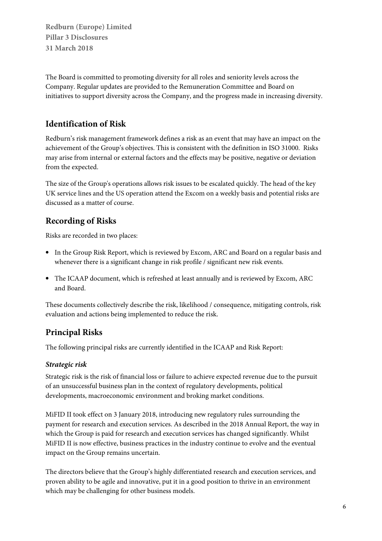The Board is committed to promoting diversity for all roles and seniority levels across the Company. Regular updates are provided to the Remuneration Committee and Board on initiatives to support diversity across the Company, and the progress made in increasing diversity.

# **Identification of Risk**

Redburn's risk management framework defines a risk as an event that may have an impact on the achievement of the Group's objectives. This is consistent with the definition in ISO 31000. Risks may arise from internal or external factors and the effects may be positive, negative or deviation from the expected.

The size of the Group's operations allows risk issues to be escalated quickly. The head of the key UK service lines and the US operation attend the Excom on a weekly basis and potential risks are discussed as a matter of course.

# **Recording of Risks**

Risks are recorded in two places:

- In the Group Risk Report, which is reviewed by Excom, ARC and Board on a regular basis and whenever there is a significant change in risk profile / significant new risk events.
- The ICAAP document, which is refreshed at least annually and is reviewed by Excom, ARC and Board.

These documents collectively describe the risk, likelihood / consequence, mitigating controls, risk evaluation and actions being implemented to reduce the risk.

# **Principal Risks**

The following principal risks are currently identified in the ICAAP and Risk Report:

# **Strategic risk**

Strategic risk is the risk of financial loss or failure to achieve expected revenue due to the pursuit of an unsuccessful business plan in the context of regulatory developments, political developments, macroeconomic environment and broking market conditions.

MiFID II took effect on 3 January 2018, introducing new regulatory rules surrounding the payment for research and execution services. As described in the 2018 Annual Report, the way in which the Group is paid for research and execution services has changed significantly. Whilst MiFID II is now effective, business practices in the industry continue to evolve and the eventual impact on the Group remains uncertain.

The directors believe that the Group's highly differentiated research and execution services, and proven ability to be agile and innovative, put it in a good position to thrive in an environment which may be challenging for other business models.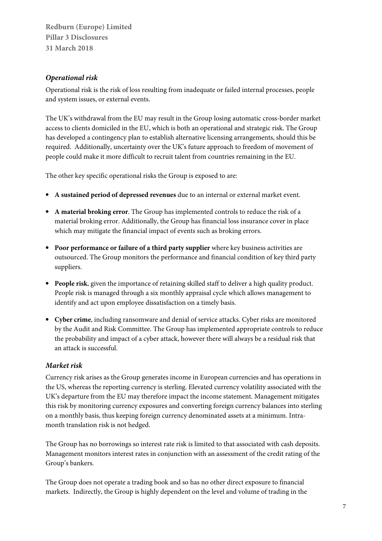#### **Operational risk**

Operational risk is the risk of loss resulting from inadequate or failed internal processes, people and system issues, or external events.

The UK's withdrawal from the EU may result in the Group losing automatic cross-border market access to clients domiciled in the EU, which is both an operational and strategic risk. The Group has developed a contingency plan to establish alternative licensing arrangements, should this be required. Additionally, uncertainty over the UK's future approach to freedom of movement of people could make it more difficult to recruit talent from countries remaining in the EU.

The other key specific operational risks the Group is exposed to are:

- **A sustained period of depressed revenues** due to an internal or external market event.
- **A material broking error**. The Group has implemented controls to reduce the risk of a material broking error. Additionally, the Group has financial loss insurance cover in place which may mitigate the financial impact of events such as broking errors.
- **Poor performance or failure of a third party supplier** where key business activities are outsourced. The Group monitors the performance and financial condition of key third party suppliers.
- **People risk**, given the importance of retaining skilled staff to deliver a high quality product. People risk is managed through a six monthly appraisal cycle which allows management to identify and act upon employee dissatisfaction on a timely basis.
- **Cyber crime**, including ransomware and denial of service attacks. Cyber risks are monitored by the Audit and Risk Committee. The Group has implemented appropriate controls to reduce the probability and impact of a cyber attack, however there will always be a residual risk that an attack is successful.

#### **Market risk**

Currency risk arises as the Group generates income in European currencies and has operations in the US, whereas the reporting currency is sterling. Elevated currency volatility associated with the UK's departure from the EU may therefore impact the income statement. Management mitigates this risk by monitoring currency exposures and converting foreign currency balances into sterling on a monthly basis, thus keeping foreign currency denominated assets at a minimum. Intramonth translation risk is not hedged.

The Group has no borrowings so interest rate risk is limited to that associated with cash deposits. Management monitors interest rates in conjunction with an assessment of the credit rating of the Group's bankers.

The Group does not operate a trading book and so has no other direct exposure to financial markets. Indirectly, the Group is highly dependent on the level and volume of trading in the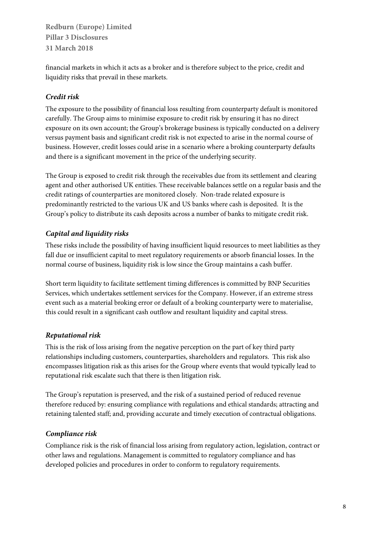financial markets in which it acts as a broker and is therefore subject to the price, credit and liquidity risks that prevail in these markets.

# **Credit risk**

The exposure to the possibility of financial loss resulting from counterparty default is monitored carefully. The Group aims to minimise exposure to credit risk by ensuring it has no direct exposure on its own account; the Group's brokerage business is typically conducted on a delivery versus payment basis and significant credit risk is not expected to arise in the normal course of business. However, credit losses could arise in a scenario where a broking counterparty defaults and there is a significant movement in the price of the underlying security.

The Group is exposed to credit risk through the receivables due from its settlement and clearing agent and other authorised UK entities. These receivable balances settle on a regular basis and the credit ratings of counterparties are monitored closely. Non-trade related exposure is predominantly restricted to the various UK and US banks where cash is deposited. It is the Group's policy to distribute its cash deposits across a number of banks to mitigate credit risk.

# **Capital and liquidity risks**

These risks include the possibility of having insufficient liquid resources to meet liabilities as they fall due or insufficient capital to meet regulatory requirements or absorb financial losses. In the normal course of business, liquidity risk is low since the Group maintains a cash buffer.

Short term liquidity to facilitate settlement timing differences is committed by BNP Securities Services, which undertakes settlement services for the Company. However, if an extreme stress event such as a material broking error or default of a broking counterparty were to materialise, this could result in a significant cash outflow and resultant liquidity and capital stress.

# **Reputational risk**

This is the risk of loss arising from the negative perception on the part of key third party relationships including customers, counterparties, shareholders and regulators. This risk also encompasses litigation risk as this arises for the Group where events that would typically lead to reputational risk escalate such that there is then litigation risk.

The Group's reputation is preserved, and the risk of a sustained period of reduced revenue therefore reduced by: ensuring compliance with regulations and ethical standards; attracting and retaining talented staff; and, providing accurate and timely execution of contractual obligations.

# **Compliance risk**

Compliance risk is the risk of financial loss arising from regulatory action, legislation, contract or other laws and regulations. Management is committed to regulatory compliance and has developed policies and procedures in order to conform to regulatory requirements.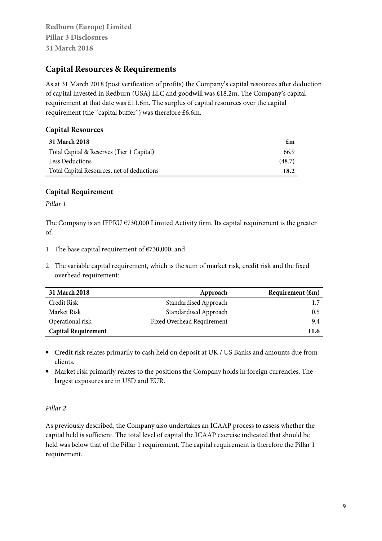# **Capital Resources & Requirements**

As at 31 March 2018 (post verification of profits) the Company's capital resources after deduction of capital invested in Redburn (USA) LLC and goodwill was £18.2m. The Company's capital requirement at that date was £11.6m. The surplus of capital resources over the capital requirement (the "capital buffer") was therefore £6.6m.

#### **Capital Resources**

| 31 March 2018                              | £m     |
|--------------------------------------------|--------|
| Total Capital & Reserves (Tier 1 Capital)  | 66.9   |
| <b>Less Deductions</b>                     | (48.7) |
| Total Capital Resources, net of deductions | 18.2   |

#### **Capital Requirement**

Pillar 1

The Company is an IFPRU  $\epsilon$ 730,000 Limited Activity firm. Its capital requirement is the greater of:

- 1 The base capital requirement of  $E$ 730,000; and
- 2 The variable capital requirement, which is the sum of market risk, credit risk and the fixed overhead requirement:

| 31 March 2018              | Approach                   | Requirement $(\text{\pounds}m)$ |
|----------------------------|----------------------------|---------------------------------|
| Credit Risk                | Standardised Approach      |                                 |
| Market Risk                | Standardised Approach      | 0.5                             |
| Operational risk           | Fixed Overhead Requirement | 9.4                             |
| <b>Capital Requirement</b> |                            | 11.6                            |

- Credit risk relates primarily to cash held on deposit at UK / US Banks and amounts due from clients.
- Market risk primarily relates to the positions the Company holds in foreign currencies. The largest exposures are in USD and EUR.

#### Pillar 2

As previously described, the Company also undertakes an ICAAP process to assess whether the capital held is sufficient. The total level of capital the ICAAP exercise indicated that should be held was below that of the Pillar 1 requirement. The capital requirement is therefore the Pillar 1 requirement.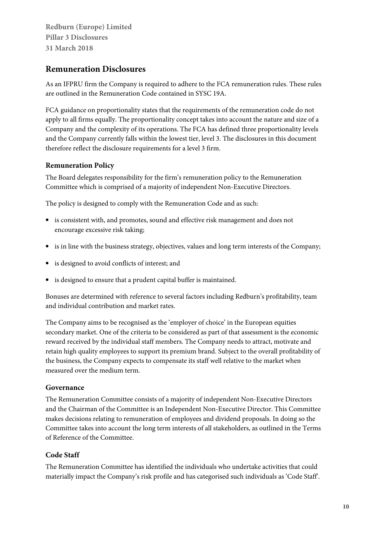# **Remuneration Disclosures**

As an IFPRU firm the Company is required to adhere to the FCA remuneration rules. These rules are outlined in the Remuneration Code contained in SYSC 19A.

FCA guidance on proportionality states that the requirements of the remuneration code do not apply to all firms equally. The proportionality concept takes into account the nature and size of a Company and the complexity of its operations. The FCA has defined three proportionality levels and the Company currently falls within the lowest tier, level 3. The disclosures in this document therefore reflect the disclosure requirements for a level 3 firm.

#### **Remuneration Policy**

The Board delegates responsibility for the firm's remuneration policy to the Remuneration Committee which is comprised of a majority of independent Non-Executive Directors.

The policy is designed to comply with the Remuneration Code and as such:

- is consistent with, and promotes, sound and effective risk management and does not encourage excessive risk taking;
- is in line with the business strategy, objectives, values and long term interests of the Company;
- is designed to avoid conflicts of interest; and
- is designed to ensure that a prudent capital buffer is maintained.

Bonuses are determined with reference to several factors including Redburn's profitability, team and individual contribution and market rates.

The Company aims to be recognised as the 'employer of choice' in the European equities secondary market. One of the criteria to be considered as part of that assessment is the economic reward received by the individual staff members. The Company needs to attract, motivate and retain high quality employees to support its premium brand. Subject to the overall profitability of the business, the Company expects to compensate its staff well relative to the market when measured over the medium term.

#### **Governance**

The Remuneration Committee consists of a majority of independent Non-Executive Directors and the Chairman of the Committee is an Independent Non-Executive Director. This Committee makes decisions relating to remuneration of employees and dividend proposals. In doing so the Committee takes into account the long term interests of all stakeholders, as outlined in the Terms of Reference of the Committee.

# **Code Staff**

The Remuneration Committee has identified the individuals who undertake activities that could materially impact the Company's risk profile and has categorised such individuals as 'Code Staff'.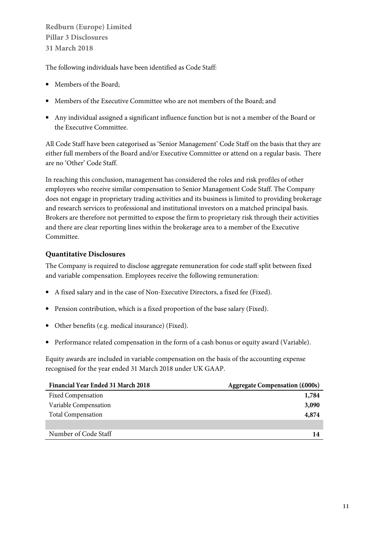The following individuals have been identified as Code Staff:

- Members of the Board;
- Members of the Executive Committee who are not members of the Board; and
- Any individual assigned a significant influence function but is not a member of the Board or the Executive Committee.

All Code Staff have been categorised as 'Senior Management' Code Staff on the basis that they are either full members of the Board and/or Executive Committee or attend on a regular basis. There are no 'Other' Code Staff.

In reaching this conclusion, management has considered the roles and risk profiles of other employees who receive similar compensation to Senior Management Code Staff. The Company does not engage in proprietary trading activities and its business is limited to providing brokerage and research services to professional and institutional investors on a matched principal basis. Brokers are therefore not permitted to expose the firm to proprietary risk through their activities and there are clear reporting lines within the brokerage area to a member of the Executive Committee.

#### **Quantitative Disclosures**

The Company is required to disclose aggregate remuneration for code staff split between fixed and variable compensation. Employees receive the following remuneration:

- A fixed salary and in the case of Non-Executive Directors, a fixed fee (Fixed).
- Pension contribution, which is a fixed proportion of the base salary (Fixed).
- Other benefits (e.g. medical insurance) (Fixed).
- Performance related compensation in the form of a cash bonus or equity award (Variable).

Equity awards are included in variable compensation on the basis of the accounting expense recognised for the year ended 31 March 2018 under UK GAAP.

| <b>Financial Year Ended 31 March 2018</b> | <b>Aggregate Compensation (£000s)</b> |
|-------------------------------------------|---------------------------------------|
| <b>Fixed Compensation</b>                 | 1,784                                 |
| Variable Compensation                     | 3,090                                 |
| <b>Total Compensation</b>                 | 4,874                                 |
|                                           |                                       |
| Number of Code Staff                      | 14                                    |